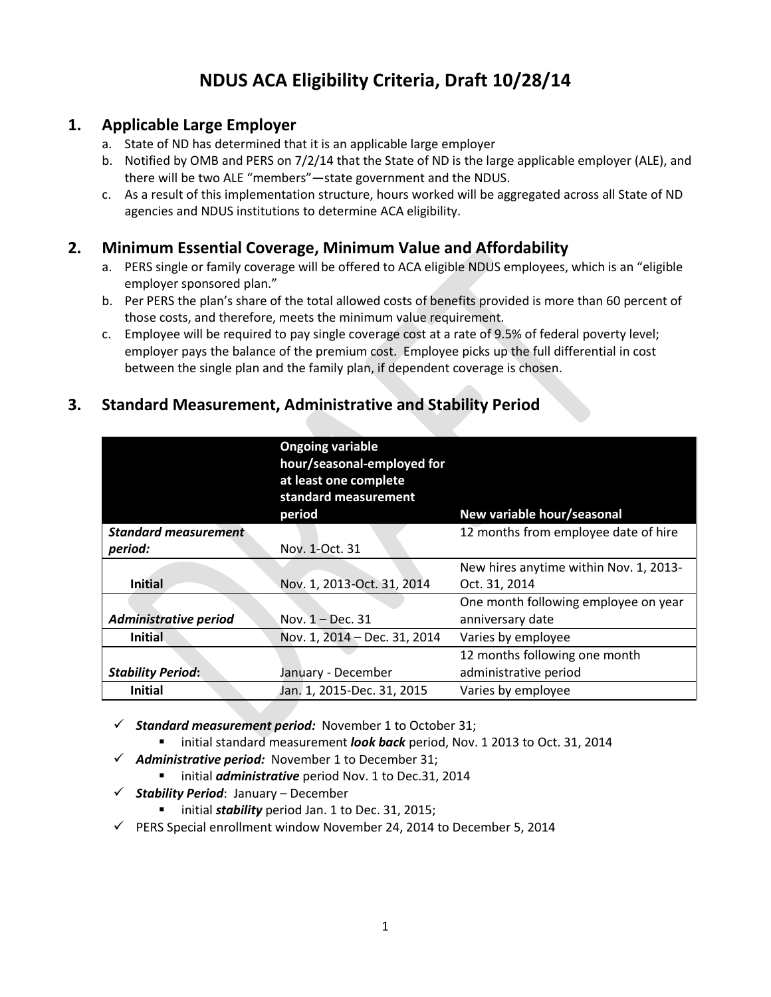## **NDUS ACA Eligibility Criteria, Draft 10/28/14**

#### **1. Applicable Large Employer**

- a. State of ND has determined that it is an applicable large employer
- b. Notified by OMB and PERS on 7/2/14 that the State of ND is the large applicable employer (ALE), and there will be two ALE "members"—state government and the NDUS.
- c. As a result of this implementation structure, hours worked will be aggregated across all State of ND agencies and NDUS institutions to determine ACA eligibility.

#### **2. Minimum Essential Coverage, Minimum Value and Affordability**

- a. PERS single or family coverage will be offered to ACA eligible NDUS employees, which is an "eligible employer sponsored plan."
- b. Per PERS the plan's share of the total allowed costs of benefits provided is more than 60 percent of those costs, and therefore, meets the minimum value requirement.
- c. Employee will be required to pay single coverage cost at a rate of 9.5% of federal poverty level; employer pays the balance of the premium cost. Employee picks up the full differential in cost between the single plan and the family plan, if dependent coverage is chosen.

## **3. Standard Measurement, Administrative and Stability Period**

|                              | <b>Ongoing variable</b><br>hour/seasonal-employed for<br>at least one complete<br>standard measurement<br>period | New variable hour/seasonal             |
|------------------------------|------------------------------------------------------------------------------------------------------------------|----------------------------------------|
| <b>Standard measurement</b>  |                                                                                                                  | 12 months from employee date of hire   |
| period:                      | Nov. 1-Oct. 31                                                                                                   |                                        |
|                              |                                                                                                                  | New hires anytime within Nov. 1, 2013- |
| <b>Initial</b>               | Nov. 1, 2013-Oct. 31, 2014                                                                                       | Oct. 31, 2014                          |
|                              |                                                                                                                  | One month following employee on year   |
| <b>Administrative period</b> | Nov. $1 - Dec. 31$                                                                                               | anniversary date                       |
| <b>Initial</b>               | Nov. 1, 2014 - Dec. 31, 2014                                                                                     | Varies by employee                     |
|                              |                                                                                                                  | 12 months following one month          |
| <b>Stability Period:</b>     | January - December                                                                                               | administrative period                  |
| <b>Initial</b>               | Jan. 1, 2015-Dec. 31, 2015                                                                                       | Varies by employee                     |

*Standard measurement period:* November 1 to October 31;

- initial standard measurement *look back* period, Nov. 1 2013 to Oct. 31, 2014
- $\checkmark$  Administrative period: November 1 to December 31;
	- **initial** *administrative* period Nov. 1 to Dec.31, 2014
- $\checkmark$  Stability Period: January December
	- **initial** *stability* period Jan. 1 to Dec. 31, 2015;
- $\checkmark$  PERS Special enrollment window November 24, 2014 to December 5, 2014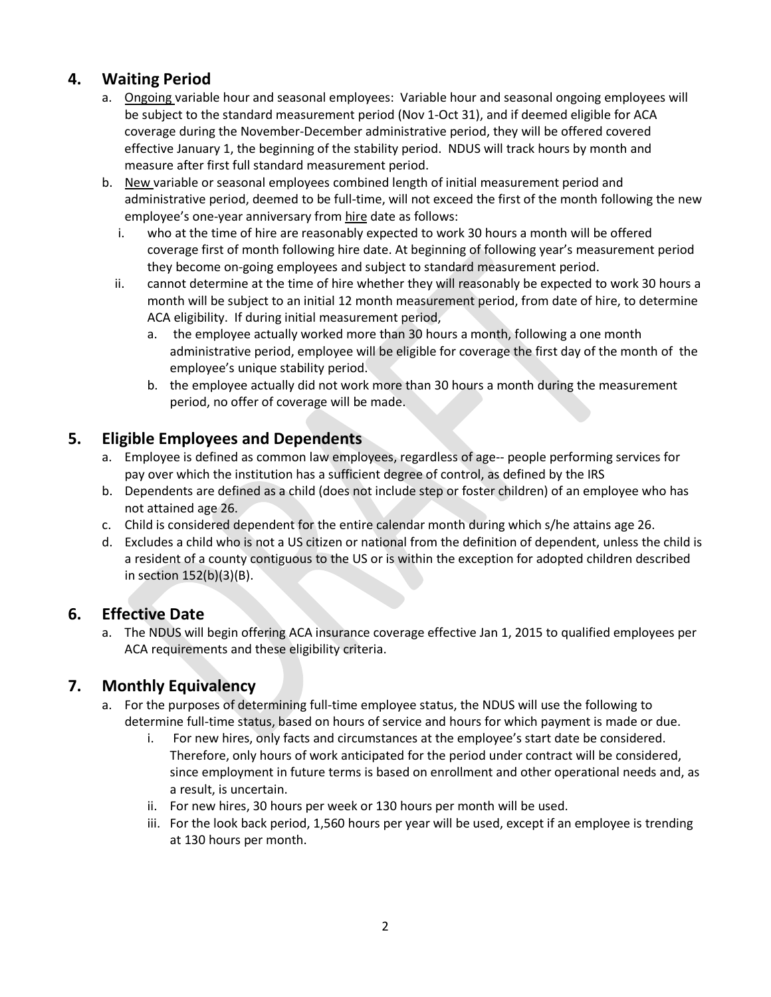## **4. Waiting Period**

- a. Ongoing variable hour and seasonal employees: Variable hour and seasonal ongoing employees will be subject to the standard measurement period (Nov 1-Oct 31), and if deemed eligible for ACA coverage during the November-December administrative period, they will be offered covered effective January 1, the beginning of the stability period. NDUS will track hours by month and measure after first full standard measurement period.
- b. New variable or seasonal employees combined length of initial measurement period and administrative period, deemed to be full-time, will not exceed the first of the month following the new employee's one-year anniversary from hire date as follows:
	- i. who at the time of hire are reasonably expected to work 30 hours a month will be offered coverage first of month following hire date. At beginning of following year's measurement period they become on-going employees and subject to standard measurement period.
	- ii. cannot determine at the time of hire whether they will reasonably be expected to work 30 hours a month will be subject to an initial 12 month measurement period, from date of hire, to determine ACA eligibility. If during initial measurement period,
		- a. the employee actually worked more than 30 hours a month, following a one month administrative period, employee will be eligible for coverage the first day of the month of the employee's unique stability period.
		- b. the employee actually did not work more than 30 hours a month during the measurement period, no offer of coverage will be made.

## **5. Eligible Employees and Dependents**

- a. Employee is defined as common law employees, regardless of age-- people performing services for pay over which the institution has a sufficient degree of control, as defined by the IRS
- b. Dependents are defined as a child (does not include step or foster children) of an employee who has not attained age 26.
- c. Child is considered dependent for the entire calendar month during which s/he attains age 26.
- d. Excludes a child who is not a US citizen or national from the definition of dependent, unless the child is a resident of a county contiguous to the US or is within the exception for adopted children described in section 152(b)(3)(B).

## **6. Effective Date**

a. The NDUS will begin offering ACA insurance coverage effective Jan 1, 2015 to qualified employees per ACA requirements and these eligibility criteria.

## **7. Monthly Equivalency**

- a. For the purposes of determining full-time employee status, the NDUS will use the following to determine full-time status, based on hours of service and hours for which payment is made or due.
	- i. For new hires, only facts and circumstances at the employee's start date be considered. Therefore, only hours of work anticipated for the period under contract will be considered, since employment in future terms is based on enrollment and other operational needs and, as a result, is uncertain.
	- ii. For new hires, 30 hours per week or 130 hours per month will be used.
	- iii. For the look back period, 1,560 hours per year will be used, except if an employee is trending at 130 hours per month.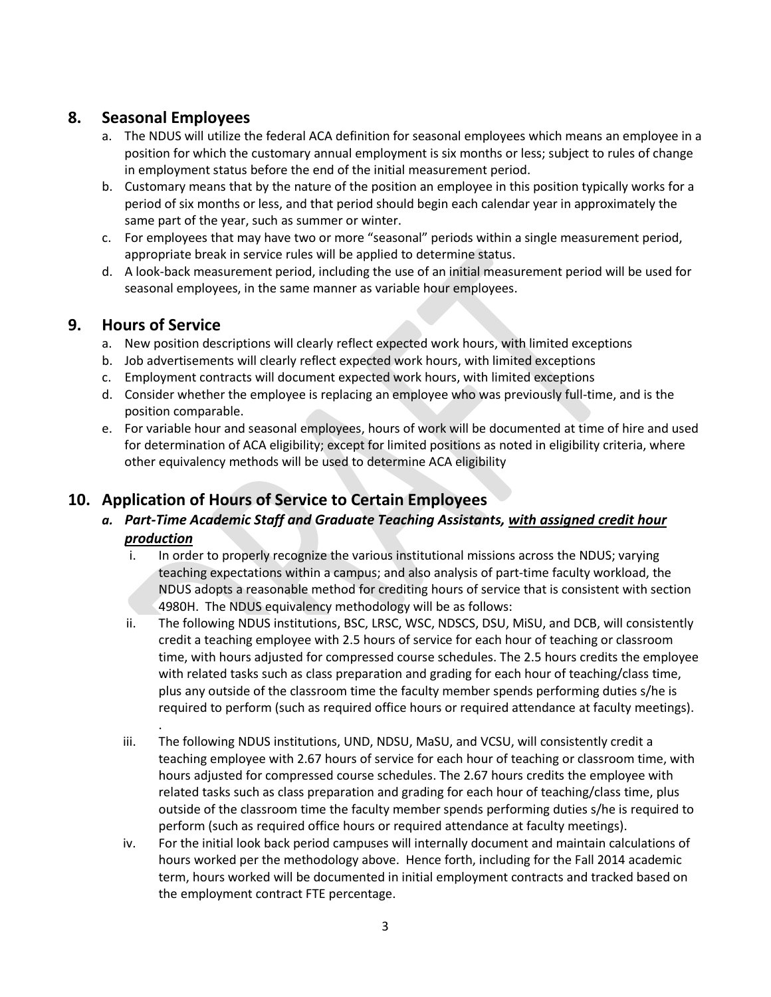## **8. Seasonal Employees**

- a. The NDUS will utilize the federal ACA definition for seasonal employees which means an employee in a position for which the customary annual employment is six months or less; subject to rules of change in employment status before the end of the initial measurement period.
- b. Customary means that by the nature of the position an employee in this position typically works for a period of six months or less, and that period should begin each calendar year in approximately the same part of the year, such as summer or winter.
- c. For employees that may have two or more "seasonal" periods within a single measurement period, appropriate break in service rules will be applied to determine status.
- d. A look-back measurement period, including the use of an initial measurement period will be used for seasonal employees, in the same manner as variable hour employees.

## **9. Hours of Service**

.

- a. New position descriptions will clearly reflect expected work hours, with limited exceptions
- b. Job advertisements will clearly reflect expected work hours, with limited exceptions
- c. Employment contracts will document expected work hours, with limited exceptions
- d. Consider whether the employee is replacing an employee who was previously full-time, and is the position comparable.
- e. For variable hour and seasonal employees, hours of work will be documented at time of hire and used for determination of ACA eligibility; except for limited positions as noted in eligibility criteria, where other equivalency methods will be used to determine ACA eligibility

## **10. Application of Hours of Service to Certain Employees**

- *a. Part-Time Academic Staff and Graduate Teaching Assistants, with assigned credit hour production*
	- i. In order to properly recognize the various institutional missions across the NDUS; varying teaching expectations within a campus; and also analysis of part-time faculty workload, the NDUS adopts a reasonable method for crediting hours of service that is consistent with section 4980H. The NDUS equivalency methodology will be as follows:
	- ii. The following NDUS institutions, BSC, LRSC, WSC, NDSCS, DSU, MiSU, and DCB, will consistently credit a teaching employee with 2.5 hours of service for each hour of teaching or classroom time, with hours adjusted for compressed course schedules. The 2.5 hours credits the employee with related tasks such as class preparation and grading for each hour of teaching/class time, plus any outside of the classroom time the faculty member spends performing duties s/he is required to perform (such as required office hours or required attendance at faculty meetings).
	- iii. The following NDUS institutions, UND, NDSU, MaSU, and VCSU, will consistently credit a teaching employee with 2.67 hours of service for each hour of teaching or classroom time, with hours adjusted for compressed course schedules. The 2.67 hours credits the employee with related tasks such as class preparation and grading for each hour of teaching/class time, plus outside of the classroom time the faculty member spends performing duties s/he is required to perform (such as required office hours or required attendance at faculty meetings).
	- iv. For the initial look back period campuses will internally document and maintain calculations of hours worked per the methodology above. Hence forth, including for the Fall 2014 academic term, hours worked will be documented in initial employment contracts and tracked based on the employment contract FTE percentage.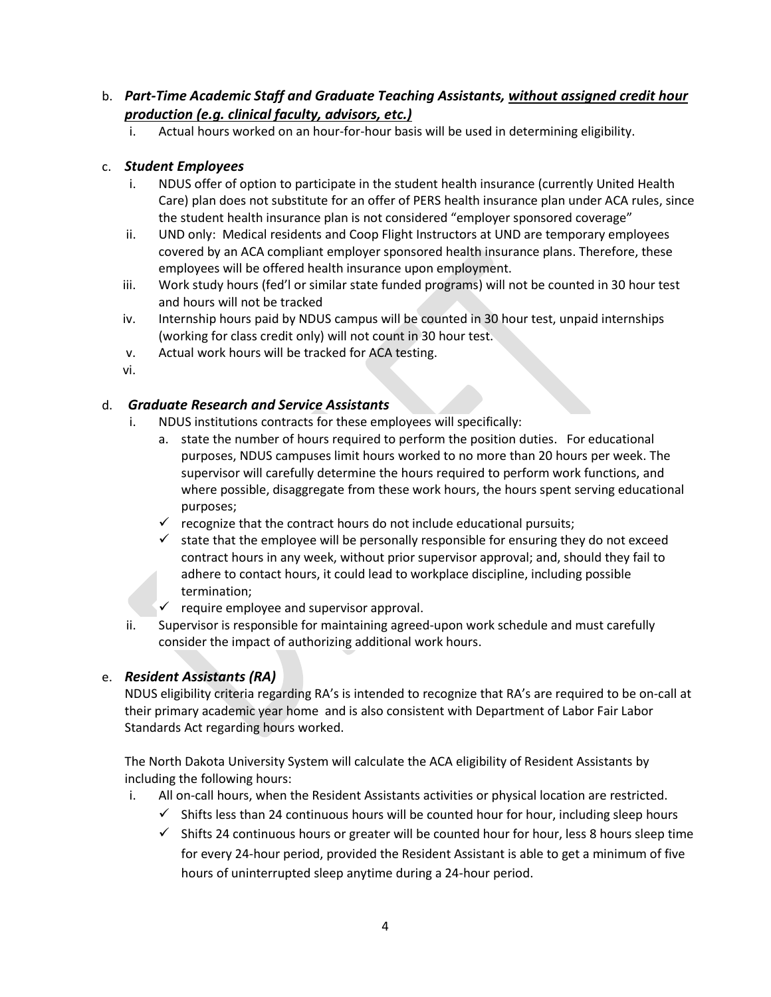#### b. *Part-Time Academic Staff and Graduate Teaching Assistants, without assigned credit hour production (e.g. clinical faculty, advisors, etc.)*

i. Actual hours worked on an hour-for-hour basis will be used in determining eligibility.

#### c. *Student Employees*

- i. NDUS offer of option to participate in the student health insurance (currently United Health Care) plan does not substitute for an offer of PERS health insurance plan under ACA rules, since the student health insurance plan is not considered "employer sponsored coverage"
- ii. UND only: Medical residents and Coop Flight Instructors at UND are temporary employees covered by an ACA compliant employer sponsored health insurance plans. Therefore, these employees will be offered health insurance upon employment.
- iii. Work study hours (fed'l or similar state funded programs) will not be counted in 30 hour test and hours will not be tracked
- iv. Internship hours paid by NDUS campus will be counted in 30 hour test, unpaid internships (working for class credit only) will not count in 30 hour test.
- v. Actual work hours will be tracked for ACA testing.
- vi.

#### d. *Graduate Research and Service Assistants*

- i. NDUS institutions contracts for these employees will specifically:
	- a. state the number of hours required to perform the position duties. For educational purposes, NDUS campuses limit hours worked to no more than 20 hours per week. The supervisor will carefully determine the hours required to perform work functions, and where possible, disaggregate from these work hours, the hours spent serving educational purposes;
	- $\checkmark$  recognize that the contract hours do not include educational pursuits;
	- $\checkmark$  state that the employee will be personally responsible for ensuring they do not exceed contract hours in any week, without prior supervisor approval; and, should they fail to adhere to contact hours, it could lead to workplace discipline, including possible termination;
	- $\checkmark$  require employee and supervisor approval.
- ii. Supervisor is responsible for maintaining agreed-upon work schedule and must carefully consider the impact of authorizing additional work hours.

#### e. *Resident Assistants (RA)*

NDUS eligibility criteria regarding RA's is intended to recognize that RA's are required to be on-call at their primary academic year home and is also consistent with Department of Labor Fair Labor Standards Act regarding hours worked.

The North Dakota University System will calculate the ACA eligibility of Resident Assistants by including the following hours:

- i. All on-call hours, when the Resident Assistants activities or physical location are restricted.
	- $\checkmark$  Shifts less than 24 continuous hours will be counted hour for hour, including sleep hours
	- $\checkmark$  Shifts 24 continuous hours or greater will be counted hour for hour, less 8 hours sleep time for every 24-hour period, provided the Resident Assistant is able to get a minimum of five hours of uninterrupted sleep anytime during a 24-hour period.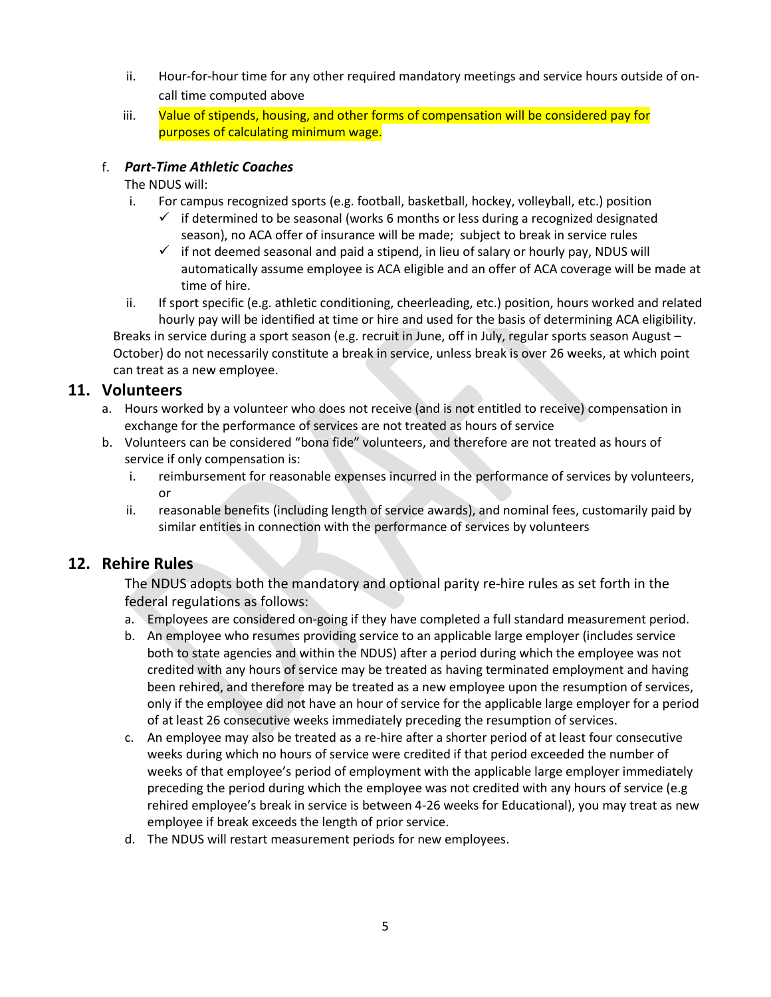- ii. Hour-for-hour time for any other required mandatory meetings and service hours outside of oncall time computed above
- iii. Value of stipends, housing, and other forms of compensation will be considered pay for purposes of calculating minimum wage.

#### f. *Part-Time Athletic Coaches*

#### The NDUS will:

- i. For campus recognized sports (e.g. football, basketball, hockey, volleyball, etc.) position
	- $\checkmark$  if determined to be seasonal (works 6 months or less during a recognized designated season), no ACA offer of insurance will be made; subject to break in service rules
	- $\checkmark$  if not deemed seasonal and paid a stipend, in lieu of salary or hourly pay, NDUS will automatically assume employee is ACA eligible and an offer of ACA coverage will be made at time of hire.
- ii. If sport specific (e.g. athletic conditioning, cheerleading, etc.) position, hours worked and related hourly pay will be identified at time or hire and used for the basis of determining ACA eligibility.

Breaks in service during a sport season (e.g. recruit in June, off in July, regular sports season August – October) do not necessarily constitute a break in service, unless break is over 26 weeks, at which point can treat as a new employee.

## **11. Volunteers**

- a. Hours worked by a volunteer who does not receive (and is not entitled to receive) compensation in exchange for the performance of services are not treated as hours of service
- b. Volunteers can be considered "bona fide" volunteers, and therefore are not treated as hours of service if only compensation is:
	- i. reimbursement for reasonable expenses incurred in the performance of services by volunteers, or
	- ii. reasonable benefits (including length of service awards), and nominal fees, customarily paid by similar entities in connection with the performance of services by volunteers

## **12. Rehire Rules**

The NDUS adopts both the mandatory and optional parity re-hire rules as set forth in the federal regulations as follows:

- a. Employees are considered on-going if they have completed a full standard measurement period.
- b. An employee who resumes providing service to an applicable large employer (includes service both to state agencies and within the NDUS) after a period during which the employee was not credited with any hours of service may be treated as having terminated employment and having been rehired, and therefore may be treated as a new employee upon the resumption of services, only if the employee did not have an hour of service for the applicable large employer for a period of at least 26 consecutive weeks immediately preceding the resumption of services.
- c. An employee may also be treated as a re-hire after a shorter period of at least four consecutive weeks during which no hours of service were credited if that period exceeded the number of weeks of that employee's period of employment with the applicable large employer immediately preceding the period during which the employee was not credited with any hours of service (e.g rehired employee's break in service is between 4-26 weeks for Educational), you may treat as new employee if break exceeds the length of prior service.
- d. The NDUS will restart measurement periods for new employees.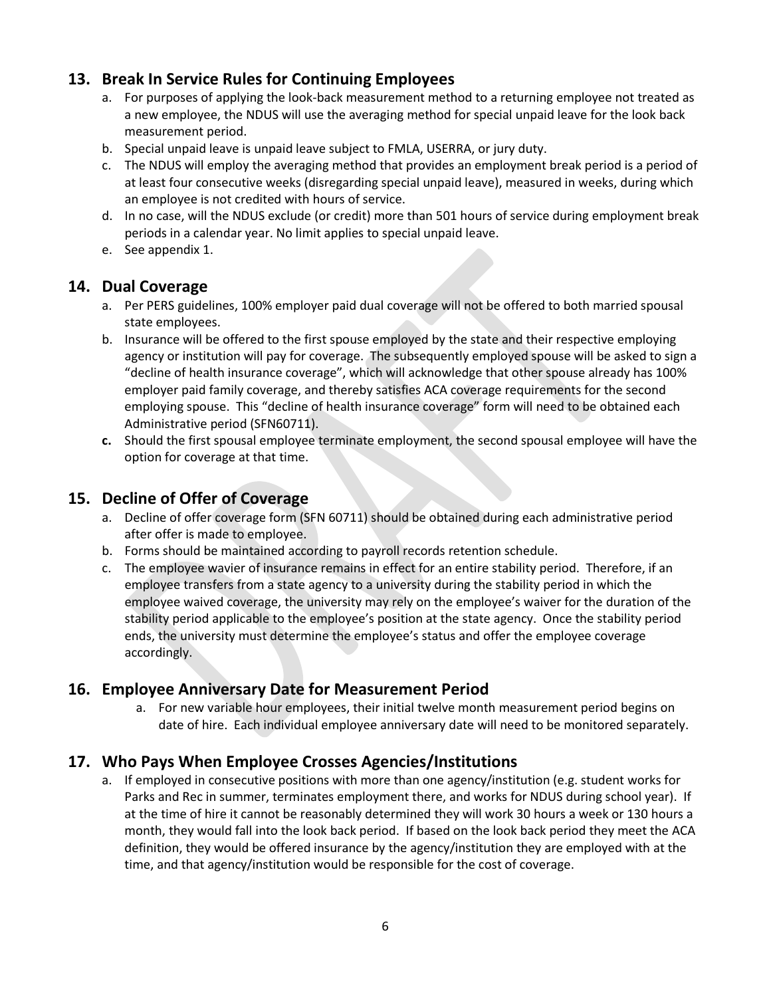## **13. Break In Service Rules for Continuing Employees**

- a. For purposes of applying the look-back measurement method to a returning employee not treated as a new employee, the NDUS will use the averaging method for special unpaid leave for the look back measurement period.
- b. Special unpaid leave is unpaid leave subject to FMLA, USERRA, or jury duty.
- c. The NDUS will employ the averaging method that provides an employment break period is a period of at least four consecutive weeks (disregarding special unpaid leave), measured in weeks, during which an employee is not credited with hours of service.
- d. In no case, will the NDUS exclude (or credit) more than 501 hours of service during employment break periods in a calendar year. No limit applies to special unpaid leave.
- e. See appendix 1.

## **14. Dual Coverage**

- a. Per PERS guidelines, 100% employer paid dual coverage will not be offered to both married spousal state employees.
- b. Insurance will be offered to the first spouse employed by the state and their respective employing agency or institution will pay for coverage. The subsequently employed spouse will be asked to sign a "decline of health insurance coverage", which will acknowledge that other spouse already has 100% employer paid family coverage, and thereby satisfies ACA coverage requirements for the second employing spouse. This "decline of health insurance coverage" form will need to be obtained each Administrative period (SFN60711).
- **c.** Should the first spousal employee terminate employment, the second spousal employee will have the option for coverage at that time.

## **15. Decline of Offer of Coverage**

- a. Decline of offer coverage form (SFN 60711) should be obtained during each administrative period after offer is made to employee.
- b. Forms should be maintained according to payroll records retention schedule.
- c. The employee wavier of insurance remains in effect for an entire stability period. Therefore, if an employee transfers from a state agency to a university during the stability period in which the employee waived coverage, the university may rely on the employee's waiver for the duration of the stability period applicable to the employee's position at the state agency. Once the stability period ends, the university must determine the employee's status and offer the employee coverage accordingly.

## **16. Employee Anniversary Date for Measurement Period**

a. For new variable hour employees, their initial twelve month measurement period begins on date of hire. Each individual employee anniversary date will need to be monitored separately.

## **17. Who Pays When Employee Crosses Agencies/Institutions**

a. If employed in consecutive positions with more than one agency/institution (e.g. student works for Parks and Rec in summer, terminates employment there, and works for NDUS during school year). If at the time of hire it cannot be reasonably determined they will work 30 hours a week or 130 hours a month, they would fall into the look back period. If based on the look back period they meet the ACA definition, they would be offered insurance by the agency/institution they are employed with at the time, and that agency/institution would be responsible for the cost of coverage.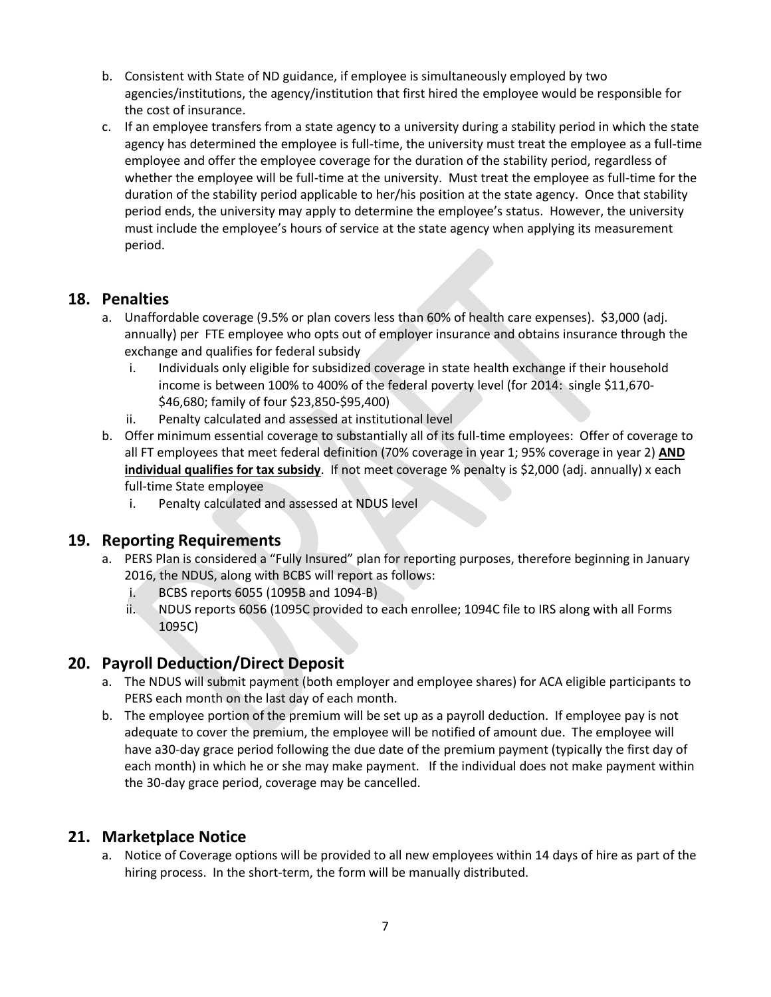- b. Consistent with State of ND guidance, if employee is simultaneously employed by two agencies/institutions, the agency/institution that first hired the employee would be responsible for the cost of insurance.
- c. If an employee transfers from a state agency to a university during a stability period in which the state agency has determined the employee is full-time, the university must treat the employee as a full-time employee and offer the employee coverage for the duration of the stability period, regardless of whether the employee will be full-time at the university. Must treat the employee as full-time for the duration of the stability period applicable to her/his position at the state agency. Once that stability period ends, the university may apply to determine the employee's status. However, the university must include the employee's hours of service at the state agency when applying its measurement period.

## **18. Penalties**

- a. Unaffordable coverage (9.5% or plan covers less than 60% of health care expenses). \$3,000 (adj. annually) per FTE employee who opts out of employer insurance and obtains insurance through the exchange and qualifies for federal subsidy
	- i. Individuals only eligible for subsidized coverage in state health exchange if their household income is between 100% to 400% of the federal poverty level (for 2014: single \$11,670- \$46,680; family of four \$23,850-\$95,400)
	- ii. Penalty calculated and assessed at institutional level
- b. Offer minimum essential coverage to substantially all of its full-time employees: Offer of coverage to all FT employees that meet federal definition (70% coverage in year 1; 95% coverage in year 2) **AND individual qualifies for tax subsidy**. If not meet coverage % penalty is \$2,000 (adj. annually) x each full-time State employee
	- i. Penalty calculated and assessed at NDUS level

## **19. Reporting Requirements**

- a. PERS Plan is considered a "Fully Insured" plan for reporting purposes, therefore beginning in January 2016, the NDUS, along with BCBS will report as follows:
	- i. BCBS reports 6055 (1095B and 1094-B)
	- ii. NDUS reports 6056 (1095C provided to each enrollee; 1094C file to IRS along with all Forms 1095C)

## **20. Payroll Deduction/Direct Deposit**

- a. The NDUS will submit payment (both employer and employee shares) for ACA eligible participants to PERS each month on the last day of each month.
- b. The employee portion of the premium will be set up as a payroll deduction. If employee pay is not adequate to cover the premium, the employee will be notified of amount due. The employee will have a30-day grace period following the due date of the premium payment (typically the first day of each month) in which he or she may make payment. If the individual does not make payment within the 30-day grace period, coverage may be cancelled.

## **21. Marketplace Notice**

a. Notice of Coverage options will be provided to all new employees within 14 days of hire as part of the hiring process. In the short-term, the form will be manually distributed.